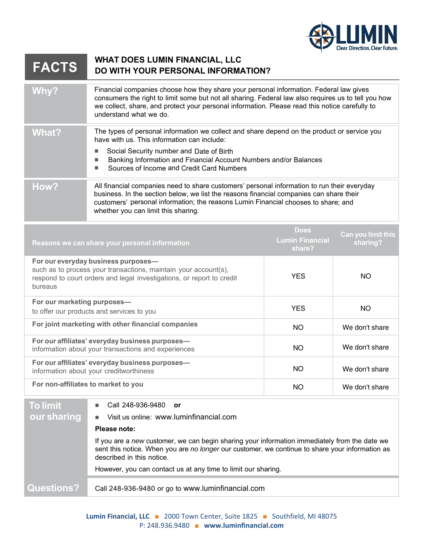

## **WHAT DOES LUMIN FINANCIAL, LLC FACTS DO WITH YOUR PERSONAL INFORMATION?**

| <b>Why?</b> | Financial companies choose how they share your personal information. Federal law gives<br>consumers the right to limit some but not all sharing. Federal law also requires us to tell you how<br>we collect, share, and protect your personal information. Please read this notice carefully to<br>understand what we do. |
|-------------|---------------------------------------------------------------------------------------------------------------------------------------------------------------------------------------------------------------------------------------------------------------------------------------------------------------------------|
| What?       | The types of personal information we collect and share depend on the product or service you<br>have with us. This information can include:                                                                                                                                                                                |
|             | Social Security number and Date of Birth                                                                                                                                                                                                                                                                                  |
|             | Banking Information and Financial Account Numbers and/or Balances                                                                                                                                                                                                                                                         |
|             | Sources of Income and Credit Card Numbers                                                                                                                                                                                                                                                                                 |
| How?        | All financial companies need to share customers' personal information to run their everyday<br>business. In the section below, we list the reasons financial companies can share their<br>customers' personal information; the reasons Lumin Financial chooses to share; and<br>whether you can limit this sharing.       |
|             | Dogs                                                                                                                                                                                                                                                                                                                      |

| Reasons we can share your personal information                                                                                                                                             | <b>Does</b><br><b>Lumin Financial</b><br>share? | Can you limit this<br>sharing? |
|--------------------------------------------------------------------------------------------------------------------------------------------------------------------------------------------|-------------------------------------------------|--------------------------------|
| For our everyday business purposes-<br>such as to process your transactions, maintain your account(s),<br>respond to court orders and legal investigations, or report to credit<br>bureaus | <b>YES</b>                                      | NO.                            |
| For our marketing purposes-<br>to offer our products and services to you                                                                                                                   | <b>YES</b>                                      | NO.                            |
| For joint marketing with other financial companies                                                                                                                                         | <b>NO</b>                                       | We don't share                 |
| For our affiliates' everyday business purposes-<br>information about your transactions and experiences                                                                                     | <b>NO</b>                                       | We don't share                 |
| For our affiliates' everyday business purposes-<br>information about your creditworthiness                                                                                                 | NO.                                             | We don't share                 |
| For non-affiliates to market to you                                                                                                                                                        | <b>NO</b>                                       | We don't share                 |

| <b>Questions?</b> | Call 248-936-9480 or go to www.luminfinancial.com                                                                                                                                             |
|-------------------|-----------------------------------------------------------------------------------------------------------------------------------------------------------------------------------------------|
|                   | sent this notice. When you are no longer our customer, we continue to share your information as<br>described in this notice.<br>However, you can contact us at any time to limit our sharing. |
|                   | Please note:<br>If you are a new customer, we can begin sharing your information immediately from the date we                                                                                 |
| our sharing       | Visit us online: www.luminfinancial.com<br>п                                                                                                                                                  |
| <b>To limit</b>   | Call 248-936-9480 or<br>ш                                                                                                                                                                     |